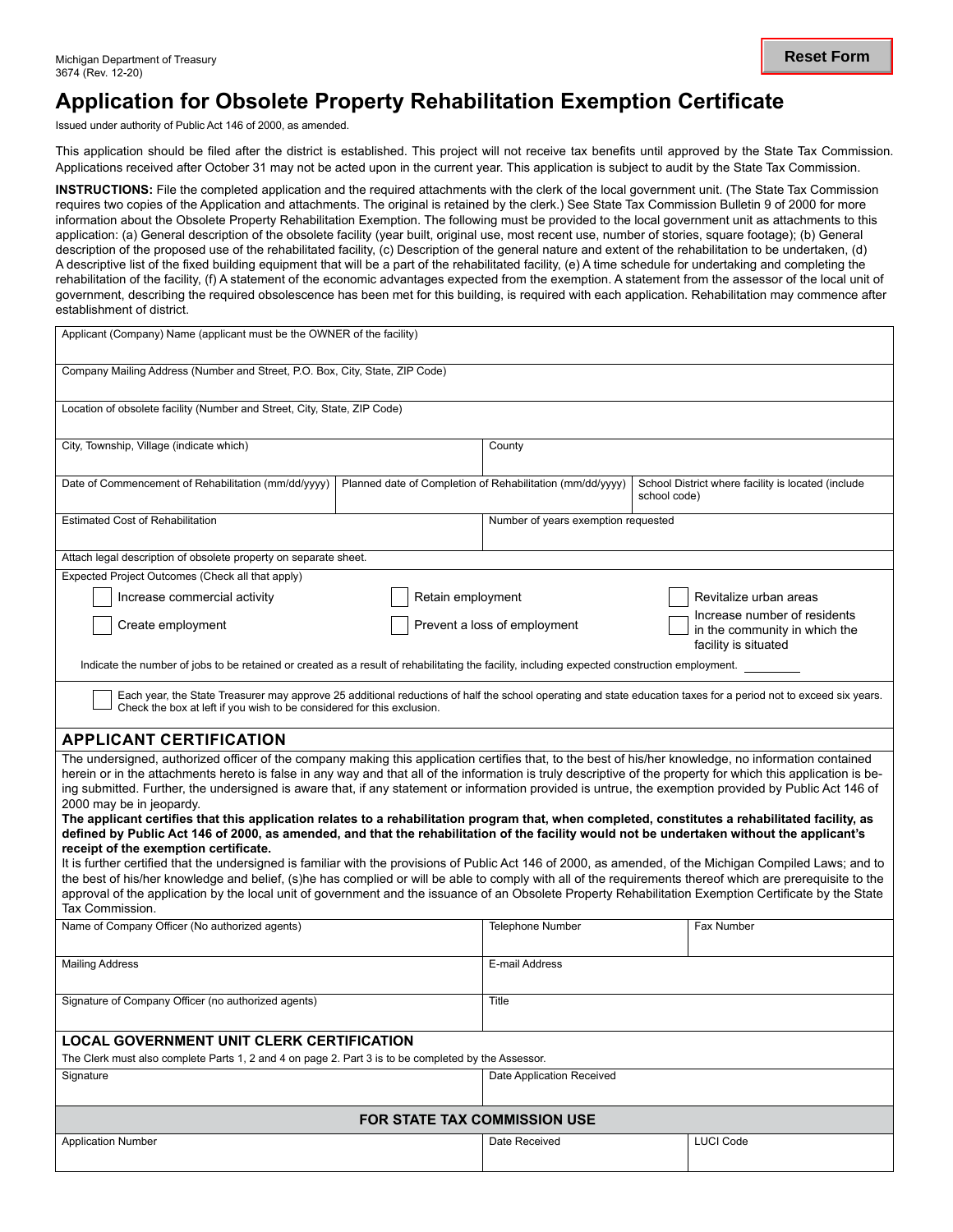## **Application for Obsolete Property Rehabilitation Exemption Certificate**

Issued under authority of Public Act 146 of 2000, as amended.

This application should be filed after the district is established. This project will not receive tax benefits until approved by the State Tax Commission. Applications received after October 31 may not be acted upon in the current year. This application is subject to audit by the State Tax Commission.

**INSTRUCTIONS:** File the completed application and the required attachments with the clerk of the local government unit. (The State Tax Commission requires two copies of the Application and attachments. The original is retained by the clerk.) See State Tax Commission Bulletin 9 of 2000 for more information about the Obsolete Property Rehabilitation Exemption. The following must be provided to the local government unit as attachments to this application: (a) General description of the obsolete facility (year built, original use, most recent use, number of stories, square footage); (b) General description of the proposed use of the rehabilitated facility, (c) Description of the general nature and extent of the rehabilitation to be undertaken, (d) A descriptive list of the fixed building equipment that will be a part of the rehabilitated facility, (e) A time schedule for undertaking and completing the rehabilitation of the facility, (f) A statement of the economic advantages expected from the exemption. A statement from the assessor of the local unit of government, describing the required obsolescence has been met for this building, is required with each application. Rehabilitation may commence after establishment of district.

| Applicant (Company) Name (applicant must be the OWNER of the facility)                                                                                                                                                                                                                                                                                                                                                                                                                                                                                                                                                                                                                                                                                                                                                                                                                                                                                                                                                                                                                                                                                                             |                                     |                                                                                       |                                                                    |                  |  |  |  |
|------------------------------------------------------------------------------------------------------------------------------------------------------------------------------------------------------------------------------------------------------------------------------------------------------------------------------------------------------------------------------------------------------------------------------------------------------------------------------------------------------------------------------------------------------------------------------------------------------------------------------------------------------------------------------------------------------------------------------------------------------------------------------------------------------------------------------------------------------------------------------------------------------------------------------------------------------------------------------------------------------------------------------------------------------------------------------------------------------------------------------------------------------------------------------------|-------------------------------------|---------------------------------------------------------------------------------------|--------------------------------------------------------------------|------------------|--|--|--|
| Company Mailing Address (Number and Street, P.O. Box, City, State, ZIP Code)                                                                                                                                                                                                                                                                                                                                                                                                                                                                                                                                                                                                                                                                                                                                                                                                                                                                                                                                                                                                                                                                                                       |                                     |                                                                                       |                                                                    |                  |  |  |  |
| Location of obsolete facility (Number and Street, City, State, ZIP Code)                                                                                                                                                                                                                                                                                                                                                                                                                                                                                                                                                                                                                                                                                                                                                                                                                                                                                                                                                                                                                                                                                                           |                                     |                                                                                       |                                                                    |                  |  |  |  |
| City, Township, Village (indicate which)                                                                                                                                                                                                                                                                                                                                                                                                                                                                                                                                                                                                                                                                                                                                                                                                                                                                                                                                                                                                                                                                                                                                           | County                              |                                                                                       |                                                                    |                  |  |  |  |
| Date of Commencement of Rehabilitation (mm/dd/yyyy)                                                                                                                                                                                                                                                                                                                                                                                                                                                                                                                                                                                                                                                                                                                                                                                                                                                                                                                                                                                                                                                                                                                                |                                     | Planned date of Completion of Rehabilitation (mm/dd/yyyy)                             | School District where facility is located (include<br>school code) |                  |  |  |  |
| <b>Estimated Cost of Rehabilitation</b>                                                                                                                                                                                                                                                                                                                                                                                                                                                                                                                                                                                                                                                                                                                                                                                                                                                                                                                                                                                                                                                                                                                                            | Number of years exemption requested |                                                                                       |                                                                    |                  |  |  |  |
| Attach legal description of obsolete property on separate sheet.                                                                                                                                                                                                                                                                                                                                                                                                                                                                                                                                                                                                                                                                                                                                                                                                                                                                                                                                                                                                                                                                                                                   |                                     |                                                                                       |                                                                    |                  |  |  |  |
| Expected Project Outcomes (Check all that apply)                                                                                                                                                                                                                                                                                                                                                                                                                                                                                                                                                                                                                                                                                                                                                                                                                                                                                                                                                                                                                                                                                                                                   |                                     |                                                                                       |                                                                    |                  |  |  |  |
| Increase commercial activity                                                                                                                                                                                                                                                                                                                                                                                                                                                                                                                                                                                                                                                                                                                                                                                                                                                                                                                                                                                                                                                                                                                                                       |                                     | Retain employment<br>Revitalize urban areas<br>Increase number of residents           |                                                                    |                  |  |  |  |
| Create employment                                                                                                                                                                                                                                                                                                                                                                                                                                                                                                                                                                                                                                                                                                                                                                                                                                                                                                                                                                                                                                                                                                                                                                  |                                     | Prevent a loss of employment<br>in the community in which the<br>facility is situated |                                                                    |                  |  |  |  |
| Indicate the number of jobs to be retained or created as a result of rehabilitating the facility, including expected construction employment.                                                                                                                                                                                                                                                                                                                                                                                                                                                                                                                                                                                                                                                                                                                                                                                                                                                                                                                                                                                                                                      |                                     |                                                                                       |                                                                    |                  |  |  |  |
| Each year, the State Treasurer may approve 25 additional reductions of half the school operating and state education taxes for a period not to exceed six years.<br>Check the box at left if you wish to be considered for this exclusion.                                                                                                                                                                                                                                                                                                                                                                                                                                                                                                                                                                                                                                                                                                                                                                                                                                                                                                                                         |                                     |                                                                                       |                                                                    |                  |  |  |  |
| <b>APPLICANT CERTIFICATION</b>                                                                                                                                                                                                                                                                                                                                                                                                                                                                                                                                                                                                                                                                                                                                                                                                                                                                                                                                                                                                                                                                                                                                                     |                                     |                                                                                       |                                                                    |                  |  |  |  |
| The undersigned, authorized officer of the company making this application certifies that, to the best of his/her knowledge, no information contained<br>herein or in the attachments hereto is false in any way and that all of the information is truly descriptive of the property for which this application is be-<br>ing submitted. Further, the undersigned is aware that, if any statement or information provided is untrue, the exemption provided by Public Act 146 of<br>2000 may be in jeopardy.<br>The applicant certifies that this application relates to a rehabilitation program that, when completed, constitutes a rehabilitated facility, as<br>defined by Public Act 146 of 2000, as amended, and that the rehabilitation of the facility would not be undertaken without the applicant's<br>receipt of the exemption certificate.<br>It is further certified that the undersigned is familiar with the provisions of Public Act 146 of 2000, as amended, of the Michigan Compiled Laws; and to<br>the best of his/her knowledge and belief, (s)he has complied or will be able to comply with all of the requirements thereof which are prerequisite to the |                                     |                                                                                       |                                                                    |                  |  |  |  |
| approval of the application by the local unit of government and the issuance of an Obsolete Property Rehabilitation Exemption Certificate by the State<br>Tax Commission.                                                                                                                                                                                                                                                                                                                                                                                                                                                                                                                                                                                                                                                                                                                                                                                                                                                                                                                                                                                                          |                                     |                                                                                       |                                                                    |                  |  |  |  |
| Name of Company Officer (No authorized agents)                                                                                                                                                                                                                                                                                                                                                                                                                                                                                                                                                                                                                                                                                                                                                                                                                                                                                                                                                                                                                                                                                                                                     |                                     | <b>Telephone Number</b>                                                               |                                                                    | Fax Number       |  |  |  |
| <b>Mailing Address</b>                                                                                                                                                                                                                                                                                                                                                                                                                                                                                                                                                                                                                                                                                                                                                                                                                                                                                                                                                                                                                                                                                                                                                             |                                     | E-mail Address                                                                        |                                                                    |                  |  |  |  |
| Signature of Company Officer (no authorized agents)                                                                                                                                                                                                                                                                                                                                                                                                                                                                                                                                                                                                                                                                                                                                                                                                                                                                                                                                                                                                                                                                                                                                |                                     | Title                                                                                 |                                                                    |                  |  |  |  |
| <b>LOCAL GOVERNMENT UNIT CLERK CERTIFICATION</b>                                                                                                                                                                                                                                                                                                                                                                                                                                                                                                                                                                                                                                                                                                                                                                                                                                                                                                                                                                                                                                                                                                                                   |                                     |                                                                                       |                                                                    |                  |  |  |  |
| The Clerk must also complete Parts 1, 2 and 4 on page 2. Part 3 is to be completed by the Assessor.                                                                                                                                                                                                                                                                                                                                                                                                                                                                                                                                                                                                                                                                                                                                                                                                                                                                                                                                                                                                                                                                                |                                     |                                                                                       |                                                                    |                  |  |  |  |
| Signature                                                                                                                                                                                                                                                                                                                                                                                                                                                                                                                                                                                                                                                                                                                                                                                                                                                                                                                                                                                                                                                                                                                                                                          |                                     | Date Application Received                                                             |                                                                    |                  |  |  |  |
| <b>FOR STATE TAX COMMISSION USE</b>                                                                                                                                                                                                                                                                                                                                                                                                                                                                                                                                                                                                                                                                                                                                                                                                                                                                                                                                                                                                                                                                                                                                                |                                     |                                                                                       |                                                                    |                  |  |  |  |
| <b>Application Number</b>                                                                                                                                                                                                                                                                                                                                                                                                                                                                                                                                                                                                                                                                                                                                                                                                                                                                                                                                                                                                                                                                                                                                                          |                                     | Date Received                                                                         |                                                                    | <b>LUCI Code</b> |  |  |  |